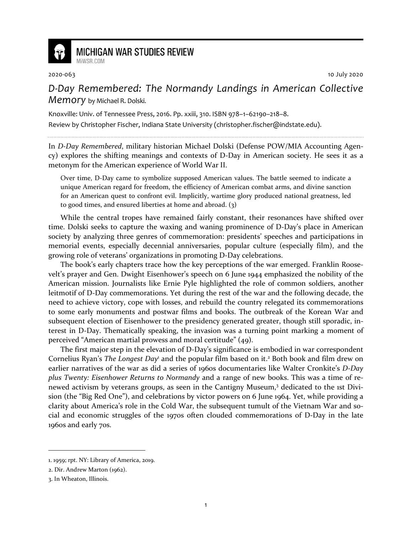

## **MICHIGAN WAR STUDIES REVIEW** MiWSR COM

2020-063 10 July 2020

*D-Day Remembered: The Normandy Landings in American Collective Memory* by Michael R. Dolski.

Knoxville: Univ. of Tennessee Press, 2016. Pp. xxiii, 310. ISBN 978–1–62190–218–8.

Review by Christopher Fischer, Indiana State University (christopher.fischer@indstate.edu).

In *D-Day Remembered*, military historian Michael Dolski (Defense POW/MIA Accounting Agency) explores the shifting meanings and contexts of D-Day in American society. He sees it as a metonym for the American experience of World War II.

Over time, D-Day came to symbolize supposed American values. The battle seemed to indicate a unique American regard for freedom, the efficiency of American combat arms, and divine sanction for an American quest to confront evil. Implicitly, wartime glory produced national greatness, led to good times, and ensured liberties at home and abroad. (3)

While the central tropes have remained fairly constant, their resonances have shifted over time. Dolski seeks to capture the waxing and waning prominence of D-Day's place in American society by analyzing three genres of commemoration: presidents' speeches and participations in memorial events, especially decennial anniversaries, popular culture (especially film), and the growing role of veterans' organizations in promoting D-Day celebrations.

The book's early chapters trace how the key perceptions of the war emerged. Franklin Roosevelt's prayer and Gen. Dwight Eisenhower's speech on 6 June 1944 emphasized the nobility of the American mission. Journalists like Ernie Pyle highlighted the role of common soldiers, another leitmotif of D-Day commemorations. Yet during the rest of the war and the following decade, the need to achieve victory, cope with losses, and rebuild the country relegated its commemorations to some early monuments and postwar films and books. The outbreak of the Korean War and subsequent election of Eisenhower to the presidency generated greater, though still sporadic, interest in D-Day. Thematically speaking, the invasion was a turning point marking a moment of perceived "American martial prowess and moral certitude" (49).

The first major step in the elevation of D-Day's significance is embodied in war correspondent Cornelius Ryan's *The Longest Day*<sup>1</sup> and the popular film based on it.<sup>2</sup> Both book and film drew on earlier narratives of the war as did a series of 1960s documentaries like Walter Cronkite's *D-Day plus Twenty: Eisenhower Returns to Normandy* and a range of new books. This was a time of renewed activism by veterans groups, as seen in the Cantigny Museum,<sup>3</sup> dedicated to the 1st Division (the "Big Red One"), and celebrations by victor powers on 6 June 1964. Yet, while providing a clarity about America's role in the Cold War, the subsequent tumult of the Vietnam War and social and economic struggles of the 1970s often clouded commemorations of D-Day in the late 1960s and early 70s.

<sup>1. 1959;</sup> rpt. NY: Library of America, 2019.

<sup>2.</sup> Dir. Andrew Marton (1962).

<sup>3.</sup> In Wheaton, Illinois.